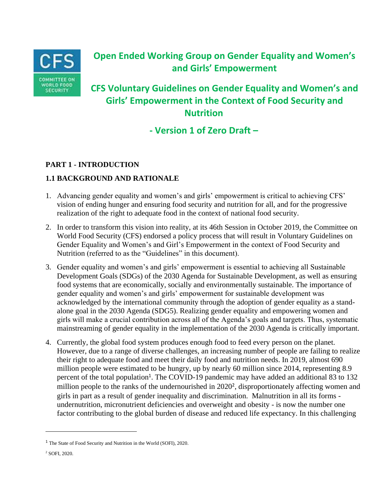

# **Open Ended Working Group on Gender Equality and Women's and Girls' Empowerment**

# **CFS Voluntary Guidelines on Gender Equality and Women's and Girls' Empowerment in the Context of Food Security and Nutrition**

**- Version 1 of Zero Draft –**

# **PART 1 - INTRODUCTION**

# **1.1 BACKGROUND AND RATIONALE**

- 1. Advancing gender equality and women's and girls' empowerment is critical to achieving CFS' vision of ending hunger and ensuring food security and nutrition for all, and for the progressive realization of the right to adequate food in the context of national food security.
- 2. In order to transform this vision into reality, at its 46th Session in October 2019, the Committee on World Food Security (CFS) endorsed a policy process that will result in Voluntary Guidelines on Gender Equality and Women's and Girl's Empowerment in the context of Food Security and Nutrition (referred to as the "Guidelines" in this document).
- 3. Gender equality and women's and girls' empowerment is essential to achieving all Sustainable Development Goals (SDGs) of the 2030 Agenda for Sustainable Development, as well as ensuring food systems that are economically, socially and environmentally sustainable. The importance of gender equality and women's and girls' empowerment for sustainable development was acknowledged by the international community through the adoption of gender equality as a standalone goal in the 2030 Agenda (SDG5). Realizing gender equality and empowering women and girls will make a crucial contribution across all of the Agenda's goals and targets. Thus, systematic mainstreaming of gender equality in the implementation of the 2030 Agenda is critically important.
- 4. Currently, the global food system produces enough food to feed every person on the planet. However, due to a range of diverse challenges, an increasing number of people are failing to realize their right to adequate food and meet their daily food and nutrition needs. In 2019, almost 690 million people were estimated to be hungry, up by nearly 60 million since 2014, representing 8.9 percent of the total population<sup>1</sup>. The COVID-19 pandemic may have added an additional 83 to 132 million people to the ranks of the undernourished in 2020<sup>2</sup>, disproportionately affecting women and girls in part as a result of gender inequality and discrimination. Malnutrition in all its forms undernutrition, micronutrient deficiencies and overweight and obesity - is now the number one factor contributing to the global burden of disease and reduced life expectancy. In this challenging

<sup>&</sup>lt;sup>1</sup> The State of Food Security and Nutrition in the World (SOFI), 2020.

<sup>2</sup> SOFI, 2020.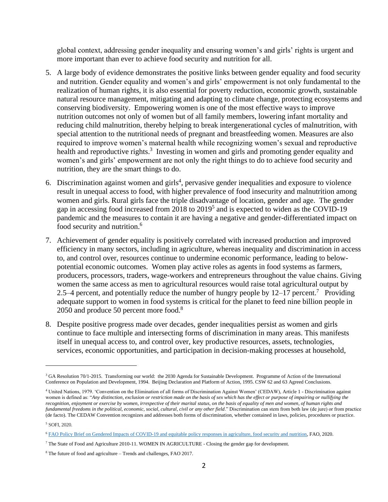global context, addressing gender inequality and ensuring women's and girls' rights is urgent and more important than ever to achieve food security and nutrition for all.

- 5. A large body of evidence demonstrates the positive links between gender equality and food security and nutrition. Gender equality and women's and girls' empowerment is not only fundamental to the realization of human rights, it is also essential for poverty reduction, economic growth, sustainable natural resource management, mitigating and adapting to climate change, protecting ecosystems and conserving biodiversity. Empowering women is one of the most effective ways to improve nutrition outcomes not only of women but of all family members, lowering infant mortality and reducing child malnutrition, thereby helping to break intergenerational cycles of malnutrition, with special attention to the nutritional needs of pregnant and breastfeeding women. Measures are also required to improve women's maternal health while recognizing women's sexual and reproductive health and reproductive rights.<sup>3</sup> Investing in women and girls and promoting gender equality and women's and girls' empowerment are not only the right things to do to achieve food security and nutrition, they are the smart things to do.
- 6. Discrimination against women and girls<sup>4</sup>, pervasive gender inequalities and exposure to violence result in unequal access to food, with higher prevalence of food insecurity and malnutrition among women and girls. Rural girls face the triple disadvantage of location, gender and age. The gender gap in accessing food increased from 2018 to 2019<sup>5</sup> and is expected to widen as the COVID-19 pandemic and the measures to contain it are having a negative and gender-differentiated impact on food security and nutrition.<sup>6</sup>
- 7. Achievement of gender equality is positively correlated with increased production and improved efficiency in many sectors, including in agriculture, whereas inequality and discrimination in access to, and control over, resources continue to undermine economic performance, leading to belowpotential economic outcomes. Women play active roles as agents in food systems as farmers, producers, processors, traders, wage-workers and entrepreneurs throughout the value chains. Giving women the same access as men to agricultural resources would raise total agricultural output by 2.5–4 percent, and potentially reduce the number of hungry people by  $12-17$  percent.<sup>7</sup> Providing adequate support to women in food systems is critical for the planet to feed nine billion people in 2050 and produce 50 percent more food.<sup>8</sup>
- 8. Despite positive progress made over decades, gender inequalities persist as women and girls continue to face multiple and intersecting forms of discrimination in many areas. This manifests itself in unequal access to, and control over, key productive resources, assets, technologies, services, economic opportunities, and participation in decision-making processes at household,

<sup>&</sup>lt;sup>3</sup> GA Resolution 70/1-2015. Transforming our world: the 2030 Agenda for Sustainable Development. Programme of Action of the International Conference on Population and Development, 1994. Beijing Declaration and Platform of Action, 1995. CSW 62 and 63 Agreed Conclusions.

<sup>4</sup> United Nations, 1979. 'Convention on the Elimination of all forms of Discrimination Against Women' (CEDAW), Article 1 - Discrimination against women is defined as: "*Any distinction, exclusion or restriction made on the basis of sex which has the effect or purpose of impairing or nullifying the recognition, enjoyment or exercise by women, irrespective of their marital status, on the basis of equality of men and women, of human rights and fundamental freedoms in the political, economic, social, cultural, civil or any other field.*" Discrimination can stem from both law (de jure) or from practice (de facto). The CEDAW Convention recognizes and addresses both forms of discrimination, whether contained in laws, policies, procedures or practice.

<sup>5</sup> SOFI, 2020.

<sup>6</sup> [FAO Policy Brief on Gendered Impacts of COVID-19 and equitable policy responses in agriculture, food security and nutrition,](http://www.fao.org/policy-support/tools-and-publications/resources-details/en/c/1276740/) FAO, 2020.

 $^7$  The State of Food and Agriculture 2010-11. WOMEN IN AGRICULTURE - Closing the gender gap for development.

<sup>8</sup> The future of food and agriculture – Trends and challenges, FAO 2017.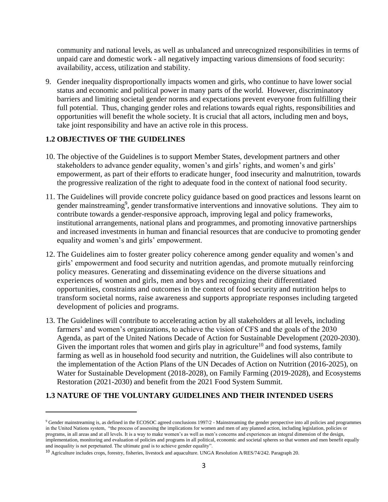community and national levels, as well as unbalanced and unrecognized responsibilities in terms of unpaid care and domestic work - all negatively impacting various dimensions of food security: availability, access, utilization and stability.

9. Gender inequality disproportionally impacts women and girls, who continue to have lower social status and economic and political power in many parts of the world. However, discriminatory barriers and limiting societal gender norms and expectations prevent everyone from fulfilling their full potential. Thus, changing gender roles and relations towards equal rights, responsibilities and opportunities will benefit the whole society. It is crucial that all actors, including men and boys, take joint responsibility and have an active role in this process.

## **1.2 OBJECTIVES OF THE GUIDELINES**

- 10. The objective of the Guidelines is to support Member States, development partners and other stakeholders to advance gender equality, women's and girls' rights, and women's and girls' empowerment, as part of their efforts to eradicate hunger<sub>,</sub> food insecurity and malnutrition, towards the progressive realization of the right to adequate food in the context of national food security.
- 11. The Guidelines will provide concrete policy guidance based on good practices and lessons learnt on gender mainstreaming<sup>9</sup>, gender transformative interventions and innovative solutions. They aim to contribute towards a gender-responsive approach, improving legal and policy frameworks, institutional arrangements, national plans and programmes, and promoting innovative partnerships and increased investments in human and financial resources that are conducive to promoting gender equality and women's and girls' empowerment.
- 12. The Guidelines aim to foster greater policy coherence among gender equality and women's and girls' empowerment and food security and nutrition agendas, and promote mutually reinforcing policy measures. Generating and disseminating evidence on the diverse situations and experiences of women and girls, men and boys and recognizing their differentiated opportunities, constraints and outcomes in the context of food security and nutrition helps to transform societal norms, raise awareness and supports appropriate responses including targeted development of policies and programs.
- 13. The Guidelines will contribute to accelerating action by all stakeholders at all levels, including farmers' and women's organizations, to achieve the vision of CFS and the goals of the 2030 Agenda, as part of the United Nations Decade of Action for Sustainable Development (2020-2030). Given the important roles that women and girls play in agriculture<sup>10</sup> and food systems, family farming as well as in household food security and nutrition, the Guidelines will also contribute to the implementation of the Action Plans of the UN Decades of Action on Nutrition (2016-2025), on Water for Sustainable Development (2018-2028), on Family Farming (2019-2028), and Ecosystems Restoration (2021-2030) and benefit from the 2021 Food System Summit.

## **1.3 NATURE OF THE VOLUNTARY GUIDELINES AND THEIR INTENDED USERS**

<sup>9</sup> Gender mainstreaming is, as defined in the ECOSOC agreed conclusions 1997/2 - Mainstreaming the gender perspective into all policies and programmes in the United Nations system, "the process of assessing the implications for women and men of any planned action, including legislation, policies or programs, in all areas and at all levels. It is a way to make women's as well as men's concerns and experiences an integral dimension of the design, implementation, monitoring and evaluation of policies and programs in all political, economic and societal spheres so that women and men benefit equally and inequality is not perpetuated. The ultimate goal is to achieve gender equality".

<sup>10</sup> Agriculture includes crops, forestry, fisheries, livestock and aquaculture. UNGA Resolution A/RES/74/242. Paragraph 20.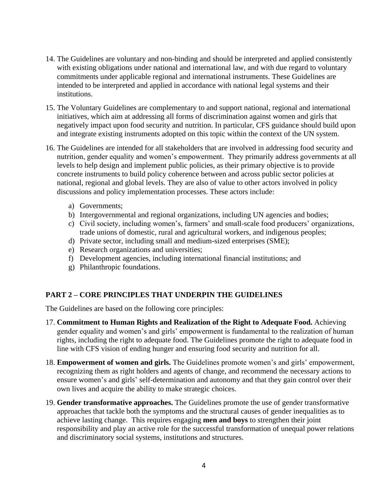- 14. The Guidelines are voluntary and non-binding and should be interpreted and applied consistently with existing obligations under national and international law, and with due regard to voluntary commitments under applicable regional and international instruments. These Guidelines are intended to be interpreted and applied in accordance with national legal systems and their institutions.
- 15. The Voluntary Guidelines are complementary to and support national, regional and international initiatives, which aim at addressing all forms of discrimination against women and girls that negatively impact upon food security and nutrition. In particular, CFS guidance should build upon and integrate existing instruments adopted on this topic within the context of the UN system.
- 16. The Guidelines are intended for all stakeholders that are involved in addressing food security and nutrition, gender equality and women's empowerment. They primarily address governments at all levels to help design and implement public policies, as their primary objective is to provide concrete instruments to build policy coherence between and across public sector policies at national, regional and global levels. They are also of value to other actors involved in policy discussions and policy implementation processes. These actors include:
	- a) Governments;
	- b) Intergovernmental and regional organizations, including UN agencies and bodies;
	- c) Civil society, including women's, farmers' and small-scale food producers' organizations, trade unions of domestic, rural and agricultural workers, and indigenous peoples;
	- d) Private sector, including small and medium-sized enterprises (SME);
	- e) Research organizations and universities;
	- f) Development agencies, including international financial institutions; and
	- g) Philanthropic foundations.

# **PART 2 – CORE PRINCIPLES THAT UNDERPIN THE GUIDELINES**

The Guidelines are based on the following core principles:

- 17. **Commitment to Human Rights and Realization of the Right to Adequate Food.** Achieving gender equality and women's and girls' empowerment is fundamental to the realization of human rights, including the right to adequate food. The Guidelines promote the right to adequate food in line with CFS vision of ending hunger and ensuring food security and nutrition for all.
- 18. **Empowerment of women and girls.** The Guidelines promote women's and girls' empowerment, recognizing them as right holders and agents of change, and recommend the necessary actions to ensure women's and girls' self-determination and autonomy and that they gain control over their own lives and acquire the ability to make strategic choices.
- 19. **Gender transformative approaches.** The Guidelines promote the use of gender transformative approaches that tackle both the symptoms and the structural causes of gender inequalities as to achieve lasting change. This requires engaging **men and boys** to strengthen their joint responsibility and play an active role for the successful transformation of unequal power relations and discriminatory social systems, institutions and structures.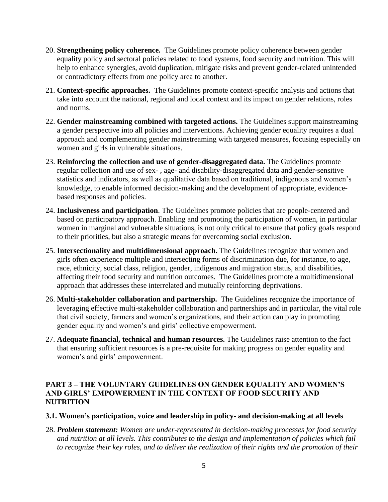- 20. **Strengthening policy coherence.** The Guidelines promote policy coherence between gender equality policy and sectoral policies related to food systems, food security and nutrition. This will help to enhance synergies, avoid duplication, mitigate risks and prevent gender-related unintended or contradictory effects from one policy area to another.
- 21. **Context-specific approaches.** The Guidelines promote context-specific analysis and actions that take into account the national, regional and local context and its impact on gender relations, roles and norms.
- 22. **Gender mainstreaming combined with targeted actions.** The Guidelines support mainstreaming a gender perspective into all policies and interventions. Achieving gender equality requires a dual approach and complementing gender mainstreaming with targeted measures, focusing especially on women and girls in vulnerable situations.
- 23. **Reinforcing the collection and use of gender-disaggregated data.** The Guidelines promote regular collection and use of sex- , age- and disability-disaggregated data and gender-sensitive statistics and indicators, as well as qualitative data based on traditional, indigenous and women's knowledge, to enable informed decision-making and the development of appropriate, evidencebased responses and policies.
- 24. **Inclusiveness and participation**. The Guidelines promote policies that are people-centered and based on participatory approach. Enabling and promoting the participation of women, in particular women in marginal and vulnerable situations, is not only critical to ensure that policy goals respond to their priorities, but also a strategic means for overcoming social exclusion.
- 25. **Intersectionality and multidimensional approach.** The Guidelines recognize that women and girls often experience multiple and intersecting forms of discrimination due, for instance, to age, race, ethnicity, social class, religion, gender, indigenous and migration status, and disabilities, affecting their food security and nutrition outcomes. The Guidelines promote a multidimensional approach that addresses these interrelated and mutually reinforcing deprivations.
- 26. **Multi-stakeholder collaboration and partnership.** The Guidelines recognize the importance of leveraging effective multi-stakeholder collaboration and partnerships and in particular, the vital role that civil society, farmers and women's organizations, and their action can play in promoting gender equality and women's and girls' collective empowerment.
- 27. **Adequate financial, technical and human resources.** The Guidelines raise attention to the fact that ensuring sufficient resources is a pre-requisite for making progress on gender equality and women's and girls' empowerment.

## **PART 3 – THE VOLUNTARY GUIDELINES ON GENDER EQUALITY AND WOMEN'S AND GIRLS' EMPOWERMENT IN THE CONTEXT OF FOOD SECURITY AND NUTRITION**

#### **3.1. Women's participation, voice and leadership in policy- and decision-making at all levels**

28. *Problem statement: Women are under-represented in decision-making processes for food security and nutrition at all levels. This contributes to the design and implementation of policies which fail to recognize their key roles, and to deliver the realization of their rights and the promotion of their*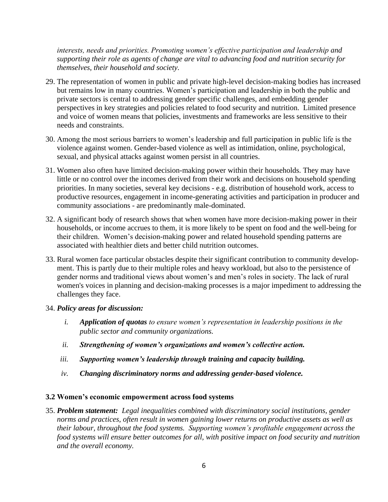*interests, needs and priorities. Promoting women's effective participation and leadership and supporting their role as agents of change are vital to advancing food and nutrition security for themselves, their household and society.*

- 29. The representation of women in public and private high-level decision-making bodies has increased but remains low in many countries. Women's participation and leadership in both the public and private sectors is central to addressing gender specific challenges, and embedding gender perspectives in key strategies and policies related to food security and nutrition. Limited presence and voice of women means that policies, investments and frameworks are less sensitive to their needs and constraints.
- 30. Among the most serious barriers to women's leadership and full participation in public life is the violence against women. Gender-based violence as well as intimidation, online, psychological, sexual, and physical attacks against women persist in all countries.
- 31. Women also often have limited decision-making power within their households. They may have little or no control over the incomes derived from their work and decisions on household spending priorities. In many societies, several key decisions - e.g. distribution of household work, access to productive resources, engagement in income-generating activities and participation in producer and community associations - are predominantly male-dominated.
- 32. A significant body of research shows that when women have more decision-making power in their households, or income accrues to them, it is more likely to be spent on food and the well-being for their children. Women's decision-making power and related household spending patterns are associated with healthier diets and better child nutrition outcomes.
- 33. Rural women face particular obstacles despite their significant contribution to community development. This is partly due to their multiple roles and heavy workload, but also to the persistence of gender norms and traditional views about women's and men's roles in society. The lack of rural women's voices in planning and decision-making processes is a major impediment to addressing the challenges they face.

#### 34. *Policy areas for discussion:*

- *i. Application of quotas to ensure women's representation in leadership positions in the public sector and community organizations.*
- *ii. Strengthening of women's organizations and women's collective action.*
- *iii. Supporting women's leadership through training and capacity building.*
- *iv. Changing discriminatory norms and addressing gender-based violence.*

#### **3.2 Women's economic empowerment across food systems**

35. *Problem statement: Legal inequalities combined with discriminatory social institutions, gender norms and practices, often result in women gaining lower returns on productive assets as well as their labour, throughout the food systems. Supporting women's profitable engagement across the food systems will ensure better outcomes for all, with positive impact on food security and nutrition and the overall economy.*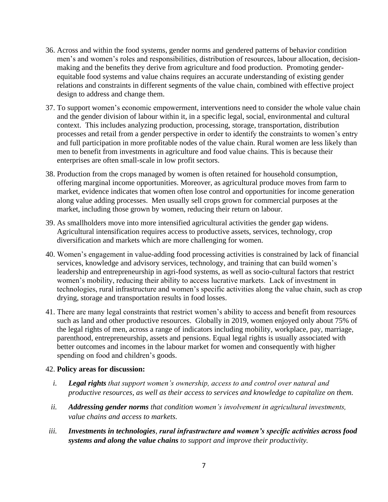- 36. Across and within the food systems, gender norms and gendered patterns of behavior condition men's and women's roles and responsibilities, distribution of resources, labour allocation, decisionmaking and the benefits they derive from agriculture and food production. Promoting genderequitable food systems and value chains requires an accurate understanding of existing gender relations and constraints in different segments of the value chain, combined with effective project design to address and change them.
- 37. To support women's economic empowerment, interventions need to consider the whole value chain and the gender division of labour within it, in a specific legal, social, environmental and cultural context. This includes analyzing production, processing, storage, transportation, distribution processes and retail from a gender perspective in order to identify the constraints to women's entry and full participation in more profitable nodes of the value chain. Rural women are less likely than men to benefit from investments in agriculture and food value chains. This is because their enterprises are often small-scale in low profit sectors.
- 38. Production from the crops managed by women is often retained for household consumption, offering marginal income opportunities. Moreover, as agricultural produce moves from farm to market, evidence indicates that women often lose control and opportunities for income generation along value adding processes. Men usually sell crops grown for commercial purposes at the market, including those grown by women, reducing their return on labour.
- 39. As smallholders move into more intensified agricultural activities the gender gap widens. Agricultural intensification requires access to productive assets, services, technology, crop diversification and markets which are more challenging for women.
- 40. Women's engagement in value-adding food processing activities is constrained by lack of financial services, knowledge and advisory services, technology, and training that can build women's leadership and entrepreneurship in agri-food systems, as well as socio-cultural factors that restrict women's mobility, reducing their ability to access lucrative markets. Lack of investment in technologies, rural infrastructure and women's specific activities along the value chain, such as crop drying, storage and transportation results in food losses.
- 41. There are many legal constraints that restrict women's ability to access and benefit from resources such as land and other productive resources. Globally in 2019, women enjoyed only about 75% of the legal rights of men, across a range of indicators including mobility, workplace, pay, marriage, parenthood, entrepreneurship, assets and pensions. Equal legal rights is usually associated with better outcomes and incomes in the labour market for women and consequently with higher spending on food and children's goods.

- *i. Legal rights that support women's ownership, access to and control over natural and productive resources, as well as their access to services and knowledge to capitalize on them.*
- *ii. Addressing gender norms that condition women's involvement in agricultural investments, value chains and access to markets.*
- *iii. Investments in technologies, rural infrastructure and women's specific activities across food systems and along the value chains to support and improve their productivity.*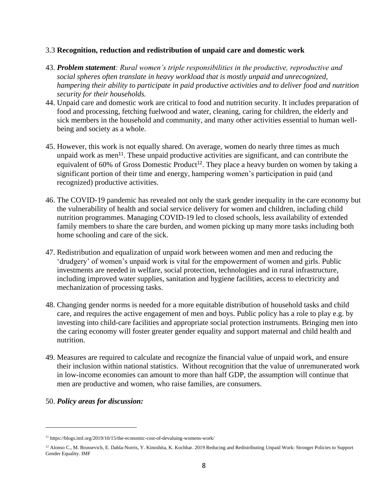#### 3.3 **Recognition, reduction and redistribution of unpaid care and domestic work**

- 43. *Problem statement: Rural women's triple responsibilities in the productive, reproductive and social spheres often translate in heavy workload that is mostly unpaid and unrecognized, hampering their ability to participate in paid productive activities and to deliver food and nutrition security for their households.*
- 44. Unpaid care and domestic work are critical to food and nutrition security. It includes preparation of food and processing, fetching fuelwood and water, cleaning, caring for children, the elderly and sick members in the household and community, and many other activities essential to human wellbeing and society as a whole.
- 45. However, this work is not equally shared. On average, women do nearly three times as much unpaid work as men<sup>11</sup>. These unpaid productive activities are significant, and can contribute the equivalent of 60% of Gross Domestic Product<sup>12</sup>. They place a heavy burden on women by taking a significant portion of their time and energy, hampering women's participation in paid (and recognized) productive activities.
- 46. The COVID-19 pandemic has revealed not only the stark gender inequality in the care economy but the vulnerability of health and social service delivery for women and children, including child nutrition programmes. Managing COVID-19 led to closed schools, less availability of extended family members to share the care burden, and women picking up many more tasks including both home schooling and care of the sick.
- 47. Redistribution and equalization of unpaid work between women and men and reducing the 'drudgery' of women's unpaid work is vital for the empowerment of women and girls. Public investments are needed in welfare, social protection, technologies and in rural infrastructure, including improved water supplies, sanitation and hygiene facilities, access to electricity and mechanization of processing tasks.
- 48. Changing gender norms is needed for a more equitable distribution of household tasks and child care, and requires the active engagement of men and boys. Public policy has a role to play e.g. by investing into child-care facilities and appropriate social protection instruments. Bringing men into the caring economy will foster greater gender equality and support maternal and child health and nutrition.
- 49. Measures are required to calculate and recognize the financial value of unpaid work, and ensure their inclusion within national statistics. Without recognition that the value of unremunerated work in low-income economies can amount to more than half GDP, the assumption will continue that men are productive and women, who raise families, are consumers.

<sup>11</sup> https://blogs.imf.org/2019/10/15/the-economic-cost-of-devaluing-womens-work/

<sup>&</sup>lt;sup>12</sup> Alonso C., M. Brussevich, E. Dabla-Norris, Y. Kinoshita, K. Kochhar. 2019 Reducing and Redistributing Unpaid Work: Stronger Policies to Support Gender Equality. IMF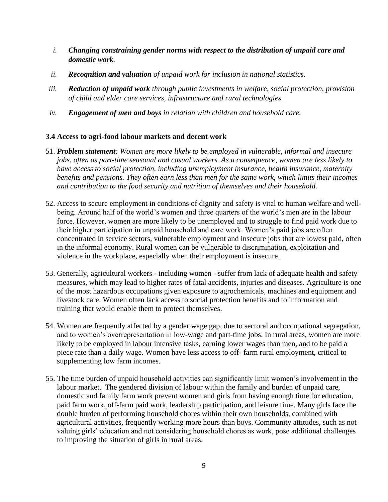- *i. Changing constraining gender norms with respect to the distribution of unpaid care and domestic work.*
- *ii. Recognition and valuation of unpaid work for inclusion in national statistics.*
- *iii. Reduction of unpaid work through public investments in welfare, social protection, provision of child and elder care services, infrastructure and rural technologies.*
- *iv. Engagement of men and boys in relation with children and household care.*

## **3.4 Access to agri-food labour markets and decent work**

- 51. *Problem statement: Women are more likely to be employed in vulnerable, informal and insecure jobs, often as part-time seasonal and casual workers. As a consequence, women are less likely to have access to social protection, including unemployment insurance, health insurance, maternity benefits and pensions. They often earn less than men for the same work, which limits their incomes and contribution to the food security and nutrition of themselves and their household.*
- 52. Access to secure employment in conditions of dignity and safety is vital to human welfare and wellbeing. Around half of the world's women and three quarters of the world's men are in the labour force. However, women are more likely to be unemployed and to struggle to find paid work due to their higher participation in unpaid household and care work. Women's paid jobs are often concentrated in service sectors, vulnerable employment and insecure jobs that are lowest paid, often in the informal economy. Rural women can be vulnerable to discrimination, exploitation and violence in the workplace, especially when their employment is insecure.
- 53. Generally, agricultural workers including women suffer from lack of adequate health and safety measures, which may lead to higher rates of fatal accidents, injuries and diseases. Agriculture is one of the most hazardous occupations given exposure to agrochemicals, machines and equipment and livestock care. Women often lack access to social protection benefits and to information and training that would enable them to protect themselves.
- 54. Women are frequently affected by a gender wage gap, due to sectoral and occupational segregation, and to women's overrepresentation in low-wage and part-time jobs. In rural areas, women are more likely to be employed in labour intensive tasks, earning lower wages than men, and to be paid a piece rate than a daily wage. Women have less access to off- farm rural employment, critical to supplementing low farm incomes.
- 55. The time burden of unpaid household activities can significantly limit women's involvement in the labour market. The gendered division of labour within the family and burden of unpaid care, domestic and family farm work prevent women and girls from having enough time for education, paid farm work, off-farm paid work, leadership participation, and leisure time. Many girls face the double burden of performing household chores within their own households, combined with agricultural activities, frequently working more hours than boys. Community attitudes, such as not valuing girls' education and not considering household chores as work, pose additional challenges to improving the situation of girls in rural areas.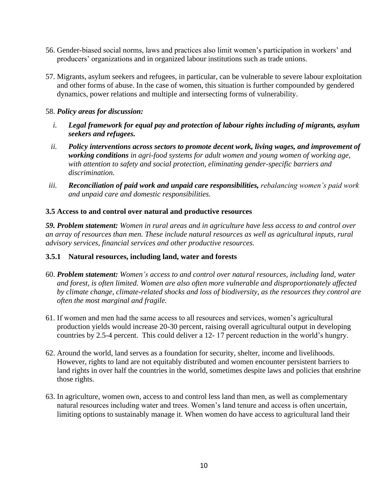- 56. Gender-biased social norms, laws and practices also limit women's participation in workers' and producers' organizations and in organized labour institutions such as trade unions.
- 57. Migrants, asylum seekers and refugees, in particular, can be vulnerable to severe labour exploitation and other forms of abuse. In the case of women, this situation is further compounded by gendered dynamics, power relations and multiple and intersecting forms of vulnerability.

- *i. Legal framework for equal pay and protection of labour rights including of migrants, asylum seekers and refugees.*
- *ii. Policy interventions across sectors to promote decent work, living wages, and improvement of working conditions in agri-food systems for adult women and young women of working age, with attention to safety and social protection, eliminating gender-specific barriers and discrimination.*
- *iii. Reconciliation of paid work and unpaid care responsibilities, rebalancing women's paid work and unpaid care and domestic responsibilities.*

## **3.5 Access to and control over natural and productive resources**

*59. Problem statement: Women in rural areas and in agriculture have less access to and control over an array of resources than men. These include natural resources as well as agricultural inputs, rural advisory services, financial services and other productive resources.*

## **3.5.1 Natural resources, including land, water and forests**

- 60. *Problem statement: Women's access to and control over natural resources, including land, water and forest, is often limited. Women are also often more vulnerable and disproportionately affected by climate change, climate-related shocks and loss of biodiversity, as the resources they control are often the most marginal and fragile.*
- 61. If women and men had the same access to all resources and services, women's agricultural production yields would increase 20-30 percent, raising overall agricultural output in developing countries by 2.5-4 percent. This could deliver a 12- 17 percent reduction in the world's hungry.
- 62. Around the world, land serves as a foundation for security, shelter, income and livelihoods. However, rights to land are not equitably distributed and women encounter persistent barriers to land rights in over half the countries in the world, sometimes despite laws and policies that enshrine those rights.
- 63. In agriculture, women own, access to and control less land than men, as well as complementary natural resources including water and trees. Women's land tenure and access is often uncertain, limiting options to sustainably manage it. When women do have access to agricultural land their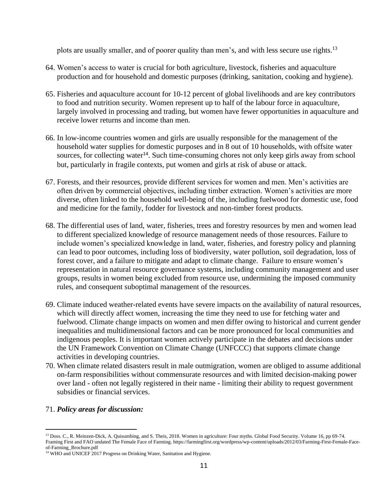plots are usually smaller, and of poorer quality than men's, and with less secure use rights.<sup>13</sup>

- 64. Women's access to water is crucial for both agriculture, livestock, fisheries and aquaculture production and for household and domestic purposes (drinking, sanitation, cooking and hygiene).
- 65. Fisheries and aquaculture account for 10-12 percent of global livelihoods and are key contributors to food and nutrition security. Women represent up to half of the labour force in aquaculture, largely involved in processing and trading, but women have fewer opportunities in aquaculture and receive lower returns and income than men.
- 66. In low-income countries women and girls are usually responsible for the management of the household water supplies for domestic purposes and in 8 out of 10 households, with offsite water sources, for collecting water<sup>14</sup>. Such time-consuming chores not only keep girls away from school but, particularly in fragile contexts, put women and girls at risk of abuse or attack.
- 67. Forests, and their resources, provide different services for women and men. Men's activities are often driven by commercial objectives, including timber extraction. Women's activities are more diverse, often linked to the household well-being of the, including fuelwood for domestic use, food and medicine for the family, fodder for livestock and non-timber forest products.
- 68. The differential uses of land, water, fisheries, trees and forestry resources by men and women lead to different specialized knowledge of resource management needs of those resources. Failure to include women's specialized knowledge in land, water, fisheries, and forestry policy and planning can lead to poor outcomes, including loss of biodiversity, water pollution, soil degradation, loss of forest cover, and a failure to mitigate and adapt to climate change. Failure to ensure women's representation in natural resource governance systems, including community management and user groups, results in women being excluded from resource use, undermining the imposed community rules, and consequent suboptimal management of the resources.
- 69. Climate induced weather-related events have severe impacts on the availability of natural resources, which will directly affect women, increasing the time they need to use for fetching water and fuelwood. Climate change impacts on women and men differ owing to historical and current gender inequalities and multidimensional factors and can be more pronounced for local communities and indigenous peoples. It is important women actively participate in the debates and decisions under the UN Framework Convention on Climate Change (UNFCCC) that supports climate change activities in developing countries.
- 70. When climate related disasters result in male outmigration, women are obliged to assume additional on-farm responsibilities without commensurate resources and with limited decision-making power over land - often not legally registered in their name - limiting their ability to request government subsidies or financial services.

<sup>13</sup> Doss. C., R. Meinzen-Dick, A. Quisumbing, and S. Theis, 2018. Women in agriculture: Four myths. Global Food Security. Volume 16, pp 69-74. Framing First and FAO undated The Female Face of Farming. https://farmingfirst.org/wordpress/wp-content/uploads/2012/03/Farming-First-Female-Faceof-Farming\_Brochure.pdf

<sup>&</sup>lt;sup>14</sup> WHO and UNICEF 2017 Progress on Drinking Water, Sanitation and Hygiene.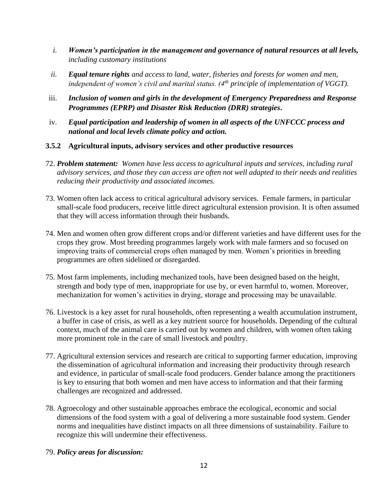- *i. Women's participation in the management and governance of natural resources at all levels, including customary institutions*
- *ii. Equal tenure rights and access to land, water, fisheries and forests for women and men, independent of women's civil and marital status. (4th principle of implementation of VGGT).*
- iii. *Inclusion of women and girls in the development of Emergency Preparedness and Response Programmes (EPRP) and Disaster Risk Reduction (DRR) strategies***.**
- iv. *Equal participation and leadership of women in all aspects of the UNFCCC process and national and local levels climate policy and action.*
- **3.5.2 Agricultural inputs, advisory services and other productive resources**
- 72. *Problem statement: Women have less access to agricultural inputs and services, including rural advisory services, and those they can access are often not well adapted to their needs and realities reducing their productivity and associated incomes.*
- 73. Women often lack access to critical agricultural advisory services. Female farmers, in particular small-scale food producers, receive little direct agricultural extension provision. It is often assumed that they will access information through their husbands.
- 74. Men and women often grow different crops and/or different varieties and have different uses for the crops they grow. Most breeding programmes largely work with male farmers and so focused on improving traits of commercial crops often managed by men. Women's priorities in breeding programmes are often sidelined or disregarded.
- 75. Most farm implements, including mechanized tools, have been designed based on the height, strength and body type of men, inappropriate for use by, or even harmful to, women. Moreover, mechanization for women's activities in drying, storage and processing may be unavailable.
- 76. Livestock is a key asset for rural households, often representing a wealth accumulation instrument, a buffer in case of crisis, as well as a key nutrient source for households. Depending of the cultural context, much of the animal care is carried out by women and children, with women often taking more prominent role in the care of small livestock and poultry.
- 77. Agricultural extension services and research are critical to supporting farmer education, improving the dissemination of agricultural information and increasing their productivity through research and evidence, in particular of small-scale food producers. Gender balance among the practitioners is key to ensuring that both women and men have access to information and that their farming challenges are recognized and addressed.
- 78. Agroecology and other sustainable approaches embrace the ecological, economic and social dimensions of the food system with a goal of delivering a more sustainable food system. Gender norms and inequalities have distinct impacts on all three dimensions of sustainability. Failure to recognize this will undermine their effectiveness.
- 79. *Policy areas for discussion:*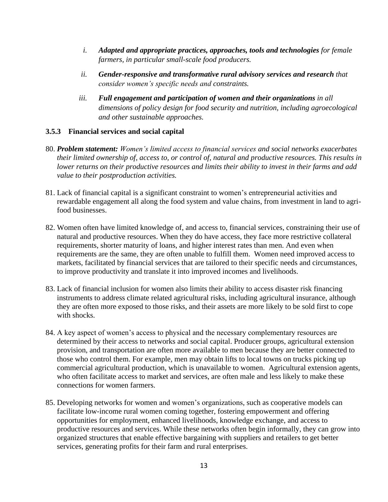- *i. Adapted and appropriate practices, approaches, tools and technologies for female farmers, in particular small-scale food producers.*
- *ii. Gender-responsive and transformative rural advisory services and research that consider women's specific needs and constraints.*
- *iii.* Full engagement and participation of women and their organizations in all *dimensions of policy design for food security and nutrition, including agroecological and other sustainable approaches.*

## **3.5.3 Financial services and social capital**

- 80. *Problem statement: Women's limited access to financial services and social networks exacerbates their limited ownership of, access to, or control of, natural and productive resources. This results in lower returns on their productive resources and limits their ability to invest in their farms and add value to their postproduction activities.*
- 81. Lack of financial capital is a significant constraint to women's entrepreneurial activities and rewardable engagement all along the food system and value chains, from investment in land to agrifood businesses.
- 82. Women often have limited knowledge of, and access to, financial services, constraining their use of natural and productive resources. When they do have access, they face more restrictive collateral requirements, shorter maturity of loans, and higher interest rates than men. And even when requirements are the same, they are often unable to fulfill them. Women need improved access to markets, facilitated by financial services that are tailored to their specific needs and circumstances, to improve productivity and translate it into improved incomes and livelihoods.
- 83. Lack of financial inclusion for women also limits their ability to access disaster risk financing instruments to address climate related agricultural risks, including agricultural insurance, although they are often more exposed to those risks, and their assets are more likely to be sold first to cope with shocks.
- 84. A key aspect of women's access to physical and the necessary complementary resources are determined by their access to networks and social capital. Producer groups, agricultural extension provision, and transportation are often more available to men because they are better connected to those who control them. For example, men may obtain lifts to local towns on trucks picking up commercial agricultural production, which is unavailable to women. Agricultural extension agents, who often facilitate access to market and services, are often male and less likely to make these connections for women farmers.
- 85. Developing networks for women and women's organizations, such as cooperative models can facilitate low-income rural women coming together, fostering empowerment and offering opportunities for employment, enhanced livelihoods, knowledge exchange, and access to productive resources and services. While these networks often begin informally, they can grow into organized structures that enable effective bargaining with suppliers and retailers to get better services, generating profits for their farm and rural enterprises.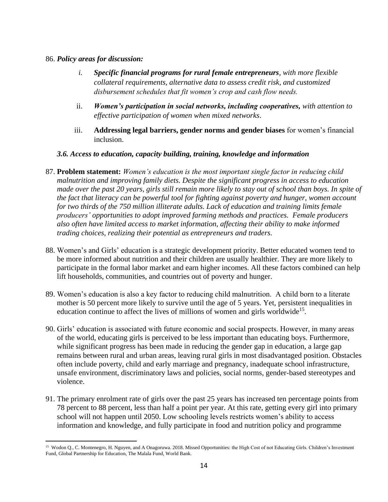- *i. Specific financial programs for rural female entrepreneurs, with more flexible collateral requirements, alternative data to assess credit risk, and customized disbursement schedules that fit women's crop and cash flow needs.*
- ii. *Women's participation in social networks, including cooperatives, with attention to effective participation of women when mixed networks*.
- iii. **Addressing legal barriers, gender norms and gender biases** for women's financial inclusion.

## *3.6. Access to education, capacity building, training, knowledge and information*

- 87. **Problem statement:** *Women's education is the most important single factor in reducing child malnutrition and improving family diets. Despite the significant progress in access to education*  made over the past 20 years, girls still remain more likely to stay out of school than boys. In spite of *the fact that literacy can be powerful tool for fighting against poverty and hunger, women account for two thirds of the 750 million illiterate adults. Lack of education and training limits female producers' opportunities to adopt improved farming methods and practices. Female producers also often have limited access to market information, affecting their ability to make informed trading choices, realizing their potential as entrepreneurs and traders.*
- 88. Women's and Girls' education is a strategic development priority. Better educated women tend to be more informed about nutrition and their children are usually healthier. They are more likely to participate in the formal labor market and earn higher incomes. All these factors combined can help lift households, communities, and countries out of poverty and hunger.
- 89. Women's education is also a key factor to reducing child malnutrition. A child born to a literate mother is 50 percent more likely to survive until the age of 5 years. Yet, persistent inequalities in education continue to affect the lives of millions of women and girls worldwide<sup>15</sup>.
- 90. Girls' education is associated with future economic and social prospects. However, in many areas of the world, educating girls is perceived to be less important than educating boys. Furthermore, while significant progress has been made in reducing the gender gap in education, a large gap remains between rural and urban areas, leaving rural girls in most disadvantaged position. Obstacles often include poverty, child and early marriage and pregnancy, inadequate school infrastructure, unsafe environment, discriminatory laws and policies, social norms, gender-based stereotypes and violence.
- 91. The primary enrolment rate of girls over the past 25 years has increased ten percentage points from 78 percent to 88 percent, less than half a point per year. At this rate, getting every girl into primary school will not happen until 2050. Low schooling levels restricts women's ability to access information and knowledge, and fully participate in food and nutrition policy and programme

<sup>&</sup>lt;sup>15</sup> Wodon Q., C. Montenegro, H. Nguyen, and A Onagoruwa. 2018. Missed Opportunities: the High Cost of not Educating Girls. Children's Investment Fund, Global Partnership for Education, The Malala Fund, World Bank.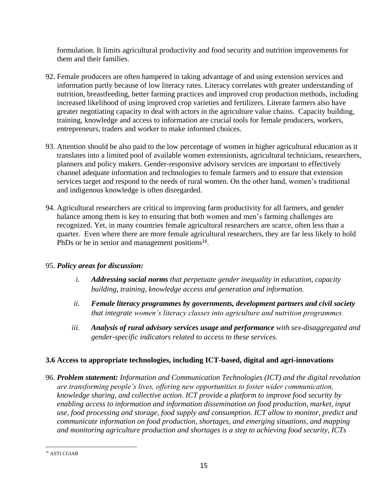formulation. It limits agricultural productivity and food security and nutrition improvements for them and their families.

- 92. Female producers are often hampered in taking advantage of and using extension services and information partly because of low literacy rates. Literacy correlates with greater understanding of nutrition, breastfeeding, better farming practices and improved crop production methods, including increased likelihood of using improved crop varieties and fertilizers. Literate farmers also have greater negotiating capacity to deal with actors in the agriculture value chains. Capacity building, training, knowledge and access to information are crucial tools for female producers, workers, entrepreneurs, traders and worker to make informed choices.
- 93. Attention should be also paid to the low percentage of women in higher agricultural education as it translates into a limited pool of available women extensionists, agricultural technicians, researchers, planners and policy makers. Gender-responsive advisory services are important to effectively channel adequate information and technologies to female farmers and to ensure that extension services target and respond to the needs of rural women. On the other hand, women's traditional and indigenous knowledge is often disregarded.
- 94. Agricultural researchers are critical to improving farm productivity for all farmers, and gender balance among them is key to ensuring that both women and men's farming challenges are recognized. Yet, in many countries female agricultural researchers are scarce, often less than a quarter. Even where there are more female agricultural researchers, they are far less likely to hold PhDs or be in senior and management positions<sup>16</sup>.

# 95. *Policy areas for discussion:*

- *i. Addressing social norms that perpetuate gender inequality in education, capacity building, training, knowledge access and generation and information.*
- *ii. Female literacy programmes by governments, development partners and civil society that integrate women's literacy classes into agriculture and nutrition programmes.*
- *iii. Analysis of rural advisory services usage and performance with sex-disaggregated and gender-specific indicators related to access to these services.*

# **3.6 Access to appropriate technologies, including ICT-based, digital and agri-innovations**

96. *Problem statement: Information and Communication Technologies (ICT) and the digital revolution are transforming people's lives, offering new opportunities to foster wider communication, knowledge sharing, and collective action. ICT provide a platform to improve food security by*  enabling access to information and information dissemination on food production, market, input *use, food processing and storage, food supply and consumption. ICT allow to monitor, predict and communicate information on food production, shortages, and emerging situations, and mapping and monitoring agriculture production and shortages is a step to achieving food security, ICTs* 

<sup>16</sup> ASTI CGIAR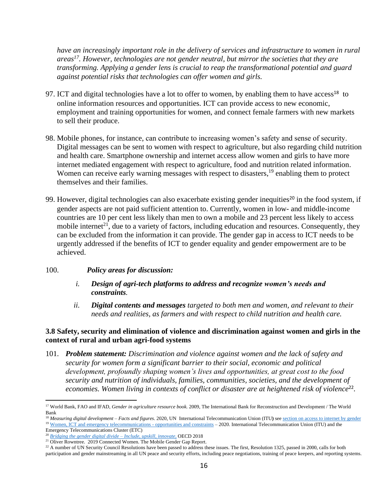*have an increasingly important role in the delivery of services and infrastructure to women in rural areas<sup>17</sup>. However, technologies are not gender neutral, but mirror the societies that they are transforming. Applying a gender lens is crucial to reap the transformational potential and guard against potential risks that technologies can offer women and girls.*

- 97. ICT and digital technologies have a lot to offer to women, by enabling them to have  $access^{18}$  to online information resources and opportunities. ICT can provide access to new economic, employment and training opportunities for women, and connect female farmers with new markets to sell their produce.
- 98. Mobile phones, for instance, can contribute to increasing women's safety and sense of security. Digital messages can be sent to women with respect to agriculture, but also regarding child nutrition and health care. Smartphone ownership and internet access allow women and girls to have more internet mediated engagement with respect to agriculture, food and nutrition related information. Women can receive early warning messages with respect to disasters,<sup>19</sup> enabling them to protect themselves and their families.
- 99. However, digital technologies can also exacerbate existing gender inequities<sup>20</sup> in the food system, if gender aspects are not paid sufficient attention to. Currently, women in low- and middle-income countries are 10 per cent less likely than men to own a mobile and 23 percent less likely to access mobile internet<sup>21</sup>, due to a variety of factors, including education and resources. Consequently, they can be excluded from the information it can provide. The gender gap in access to ICT needs to be urgently addressed if the benefits of ICT to gender equality and gender empowerment are to be achieved.
- 100. *Policy areas for discussion:*
	- *i. Design of agri-tech platforms to address and recognize women's needs and constraints.*
	- *ii. Digital contents and messages targeted to both men and women, and relevant to their needs and realities, as farmers and with respect to child nutrition and health care.*

## **3.8 Safety, security and elimination of violence and discrimination against women and girls in the context of rural and urban agri-food systems**

101. *Problem statement: Discrimination and violence against women and the lack of safety and security for women form a significant barrier to their social, economic and political development, profoundly shaping women's lives and opportunities, at great cost to the food security and nutrition of individuals, families, communities, societies, and the development of*  economies. Women living in contexts of conflict or disaster are at heightened risk of violence<sup>22</sup>.

Emergency Telecommunications Cluster (ETC) <sup>20</sup> *[Bridging the gender digital divide –](https://www.oecd.org/digital/bridging-the-digital-gender-divide.pdf) Include, upskill, innovate*, OECD 2018

<sup>17</sup> World Bank, FAO and IFAD, *Gender in agriculture resource book.* 2009, The International Bank for Reconstruction and Development / The World Bank

<sup>&</sup>lt;sup>18</sup> Measuring digital development – Facts and figures. 2020, UN International Telecommunication Union (ITU) se[e section on access to internet by gender](https://www.itu.int/en/ITU-D/Statistics/Pages/ff2020interactive.aspx) <sup>19</sup> [Women, ICT and emergency telecommunications -](https://www.itu.int/en/ITU-D/Emergency-Telecommunications/Pages/Women-ICT-and-Emergency-Telecommunications.aspx) opportunities and constraints – 2020. International Telecommunication Union (ITU) and the

<sup>&</sup>lt;sup>21</sup> Oliver Rowntree. 2019 Connected Women. The Mobile Gender Gap Report.

<sup>&</sup>lt;sup>22</sup> A number of UN Security Council Resolutions have been passed to address these issues. The first, Resolution 1325, passed in 2000, calls for both participation and gender mainstreaming in all UN peace and security efforts, including peace negotiations, training of peace keepers, and reporting systems.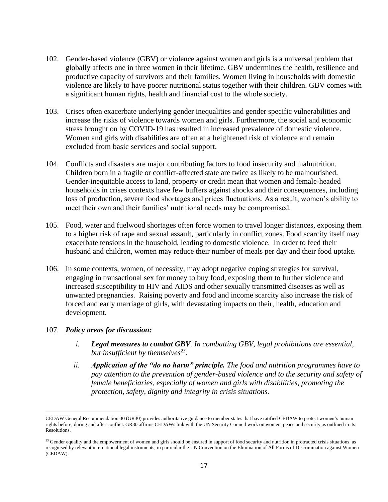- 102. Gender-based violence (GBV) or violence against women and girls is a universal problem that globally affects one in three women in their lifetime. GBV undermines the health, resilience and productive capacity of survivors and their families. Women living in households with domestic violence are likely to have poorer nutritional status together with their children. GBV comes with a significant human rights, health and financial cost to the whole society.
- 103. Crises often exacerbate underlying gender inequalities and gender specific vulnerabilities and increase the risks of violence towards women and girls. Furthermore, the social and economic stress brought on by COVID-19 has resulted in increased prevalence of domestic violence. Women and girls with disabilities are often at a heightened risk of violence and remain excluded from basic services and social support.
- 104. Conflicts and disasters are major contributing factors to food insecurity and malnutrition. Children born in a fragile or conflict-affected state are twice as likely to be malnourished. Gender-inequitable access to land, property or credit mean that women and female-headed households in crises contexts have few buffers against shocks and their consequences, including loss of production, severe food shortages and prices fluctuations. As a result, women's ability to meet their own and their families' nutritional needs may be compromised.
- 105. Food, water and fuelwood shortages often force women to travel longer distances, exposing them to a higher risk of rape and sexual assault, particularly in conflict zones. Food scarcity itself may exacerbate tensions in the household, leading to domestic violence. In order to feed their husband and children, women may reduce their number of meals per day and their food uptake.
- 106. In some contexts, women, of necessity, may adopt negative coping strategies for survival, engaging in transactional sex for money to buy food, exposing them to further violence and increased susceptibility to HIV and AIDS and other sexually transmitted diseases as well as unwanted pregnancies. Raising poverty and food and income scarcity also increase the risk of forced and early marriage of girls, with devastating impacts on their, health, education and development.

- *i. Legal measures to combat GBV. In combatting GBV, legal prohibitions are essential, but insufficient by themselves<sup>23</sup> .*
- *ii. Application of the "do no harm" principle. The food and nutrition programmes have to pay attention to the prevention of gender-based violence and to the security and safety of female beneficiaries, especially of women and girls with disabilities, promoting the protection, safety, dignity and integrity in crisis situations.*

CEDAW General Recommendation 30 (GR30) provides authoritative guidance to member states that have ratified CEDAW to protect women's human rights before, during and after conflict. GR30 affirms CEDAWs link with the UN Security Council work on women, peace and security as outlined in its Resolutions.

<sup>&</sup>lt;sup>23</sup> Gender equality and the empowerment of women and girls should be ensured in support of food security and nutrition in protracted crisis situations, as recognised by relevant international legal instruments, in particular the UN Convention on the Elimination of All Forms of Discrimination against Women (CEDAW).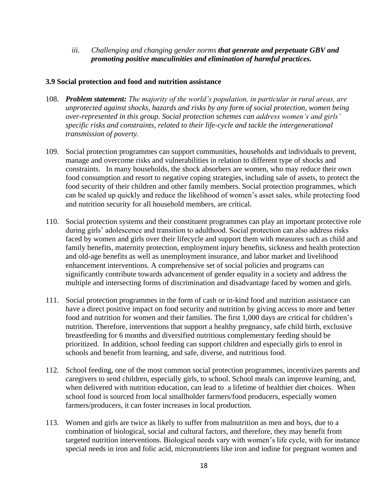*iii. Challenging and changing gender norms that generate and perpetuate GBV and promoting positive masculinities and elimination of harmful practices.*

#### **3.9 Social protection and food and nutrition assistance**

- 108. *Problem statement: The majority of the world's population, in particular in rural areas, are unprotected against shocks, hazards and risks by any form of social protection, women being over-represented in this group. Social protection schemes can address women's and girls' specific risks and constraints, related to their life-cycle and tackle the intergenerational transmission of poverty.*
- 109. Social protection programmes can support communities, households and individuals to prevent, manage and overcome risks and vulnerabilities in relation to different type of shocks and constraints. In many households, the shock absorbers are women, who may reduce their own food consumption and resort to negative coping strategies, including sale of assets, to protect the food security of their children and other family members. Social protection programmes, which can be scaled up quickly and reduce the likelihood of women's asset sales, while protecting food and nutrition security for all household members, are critical.
- 110. Social protection systems and their constituent programmes can play an important protective role during girls' adolescence and transition to adulthood. Social protection can also address risks faced by women and girls over their lifecycle and support them with measures such as child and family benefits, maternity protection, employment injury benefits, sickness and health protection and old-age benefits as well as unemployment insurance, and labor market and livelihood enhancement interventions. A comprehensive set of social policies and programs can significantly contribute towards advancement of gender equality in a society and address the multiple and intersecting forms of discrimination and disadvantage faced by women and girls.
- 111. Social protection programmes in the form of cash or in-kind food and nutrition assistance can have a direct positive impact on food security and nutrition by giving access to more and better food and nutrition for women and their families. The first 1,000 days are critical for children's nutrition. Therefore, interventions that support a healthy pregnancy, safe child birth, exclusive breastfeeding for 6 months and diversified nutritious complementary feeding should be prioritized. In addition, school feeding can support children and especially girls to enrol in schools and benefit from learning, and safe, diverse, and nutritious food.
- 112. School feeding, one of the most common social protection programmes, incentivizes parents and caregivers to send children, especially girls, to school. School meals can improve learning, and, when delivered with nutrition education, can lead to a lifetime of healthier diet choices. When school food is sourced from local smallholder farmers/food producers, especially women farmers/producers, it can foster increases in local production.
- 113. Women and girls are twice as likely to suffer from malnutrition as men and boys, due to a combination of biological, social and cultural factors, and therefore, they may benefit from targeted nutrition interventions. Biological needs vary with women's life cycle, with for instance special needs in iron and folic acid, micronutrients like iron and iodine for pregnant women and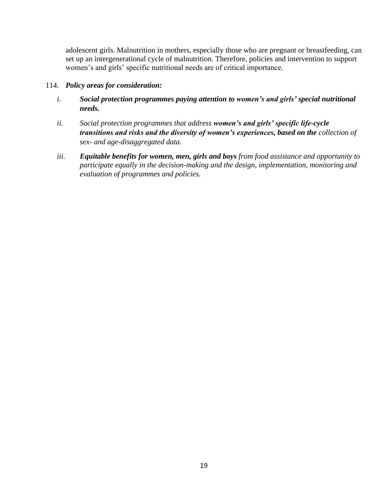adolescent girls. Malnutrition in mothers, especially those who are pregnant or breastfeeding, can set up an intergenerational cycle of malnutrition. Therefore, policies and intervention to support women's and girls' specific nutritional needs are of critical importance.

## 114. *Policy areas for consideration:*

- *i. Social protection programmes paying attention to women's and girls' special nutritional needs.*
- *ii. Social protection programmes that address women's and girls' specific life-cycle transitions and risks and the diversity of women's experiences, based on the collection of sex- and age-disaggregated data.*
- *iii. Equitable benefits for women, men, girls and boys from food assistance and opportunity to participate equally in the decision-making and the design, implementation, monitoring and evaluation of programmes and policies.*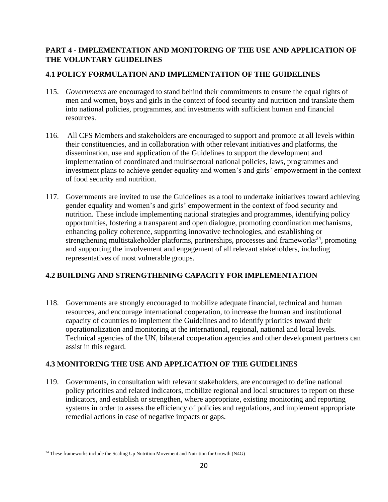# **PART 4 - IMPLEMENTATION AND MONITORING OF THE USE AND APPLICATION OF THE VOLUNTARY GUIDELINES**

# **4.1 POLICY FORMULATION AND IMPLEMENTATION OF THE GUIDELINES**

- 115. *Governments* are encouraged to stand behind their commitments to ensure the equal rights of men and women, boys and girls in the context of food security and nutrition and translate them into national policies, programmes, and investments with sufficient human and financial resources.
- 116. All CFS Members and stakeholders are encouraged to support and promote at all levels within their constituencies, and in collaboration with other relevant initiatives and platforms, the dissemination, use and application of the Guidelines to support the development and implementation of coordinated and multisectoral national policies, laws, programmes and investment plans to achieve gender equality and women's and girls' empowerment in the context of food security and nutrition.
- 117. Governments are invited to use the Guidelines as a tool to undertake initiatives toward achieving gender equality and women's and girls' empowerment in the context of food security and nutrition. These include implementing national strategies and programmes, identifying policy opportunities, fostering a transparent and open dialogue, promoting coordination mechanisms, enhancing policy coherence, supporting innovative technologies, and establishing or strengthening multistakeholder platforms, partnerships, processes and frameworks<sup>24</sup>, promoting and supporting the involvement and engagement of all relevant stakeholders, including representatives of most vulnerable groups.

# **4.2 BUILDING AND STRENGTHENING CAPACITY FOR IMPLEMENTATION**

118. Governments are strongly encouraged to mobilize adequate financial, technical and human resources, and encourage international cooperation, to increase the human and institutional capacity of countries to implement the Guidelines and to identify priorities toward their operationalization and monitoring at the international, regional, national and local levels. Technical agencies of the UN, bilateral cooperation agencies and other development partners can assist in this regard.

# **4.3 MONITORING THE USE AND APPLICATION OF THE GUIDELINES**

119. Governments, in consultation with relevant stakeholders, are encouraged to define national policy priorities and related indicators, mobilize regional and local structures to report on these indicators, and establish or strengthen, where appropriate, existing monitoring and reporting systems in order to assess the efficiency of policies and regulations, and implement appropriate remedial actions in case of negative impacts or gaps.

<sup>&</sup>lt;sup>24</sup> These frameworks include the Scaling Up Nutrition Movement and Nutrition for Growth (N4G)